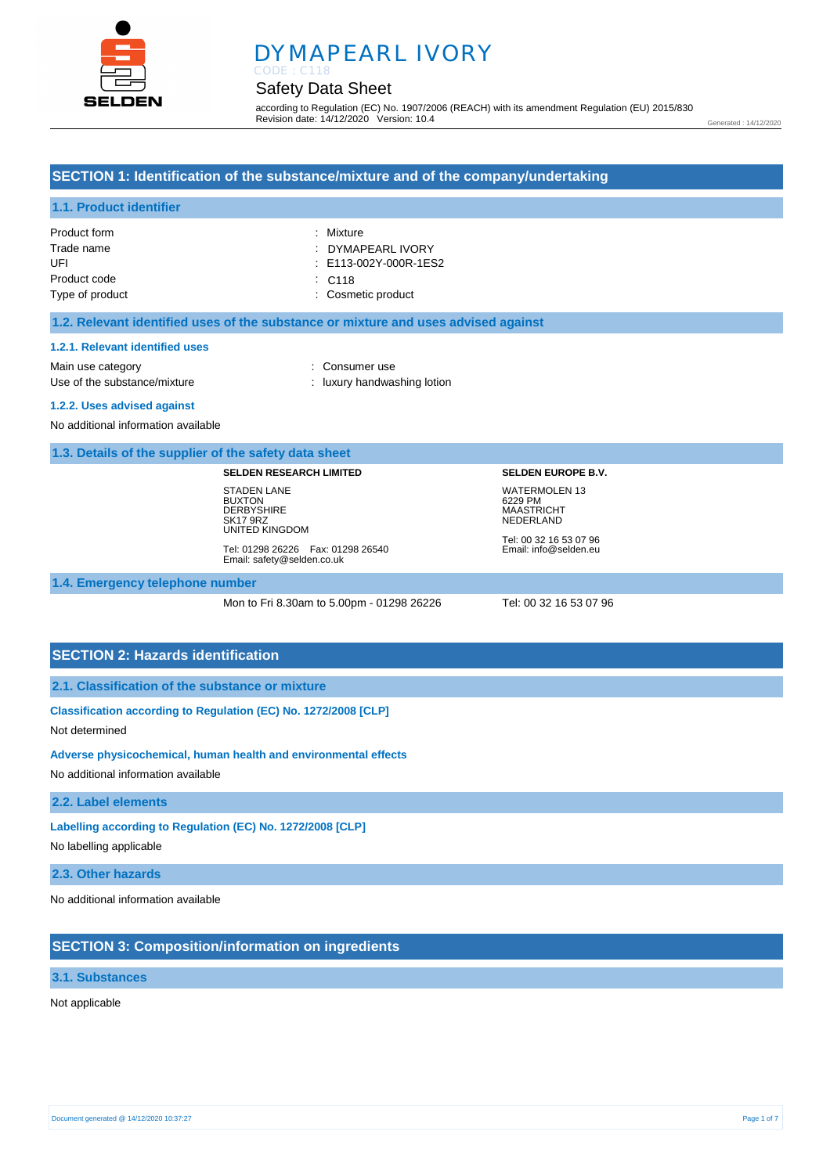

# DYMAPEARL IVORY

### Safety Data Sheet

according to Regulation (EC) No. 1907/2006 (REACH) with its amendment Regulation (EU) 2015/830 Revision date: 14/12/2020 Version: 10.4

Generated : 14/12/2020

#### **SECTION 1: Identification of the substance/mixture and of the company/undertaking**

### **1.1. Product identifier**

| Product form    | : Mixture                 |
|-----------------|---------------------------|
| Trade name      | : DYMAPEARL IVORY         |
| UFI             | $\pm$ E113-002Y-000R-1ES2 |
| Product code    | $\therefore$ C118         |
| Type of product | : Cosmetic product        |

#### **1.2. Relevant identified uses of the substance or mixture and uses advised against**

#### **1.2.1. Relevant identified uses**

Main use category **Example 20** and 20 and 20 and 20 and 20 and 20 and 20 and 20 and 20 and 20 and 20 and 20 and 20 and 20 and 20 and 20 and 20 and 20 and 20 and 20 and 20 and 20 and 20 and 20 and 20 and 20 and 20 and 20 an Use of the substance/mixture in the substance/mixture in the substance of the substance in the substance of the substance/mixture in the substance of the substance of the substance of the substance of the substance of the

**1.2.2. Uses advised against** 

No additional information available

**1.3. Details of the supplier of the safety data sheet**

**SELDEN RESEARCH LIMITED**

STADEN LANE BUXTON **DERBYSHIRE** SK17 9RZ UNITED KINGDOM

Tel: 01298 26226 Fax: 01298 26540 Email: safety@selden.co.uk

#### **1.4. Emergency telephone number**

Mon to Fri 8.30am to 5.00pm - 01298 26226 Tel: 00 32 16 53 07 96

Tel: 00 32 16 53 07 96 Email: info@selden.eu

**SELDEN EUROPE B.V.** WATERMOLEN 13 6229 PM MAASTRICHT **NEDERLAND** 

#### **SECTION 2: Hazards identification**

#### **2.1. Classification of the substance or mixture**

**Classification according to Regulation (EC) No. 1272/2008 [CLP]** 

Not determined

#### **Adverse physicochemical, human health and environmental effects**

No additional information available

#### **2.2. Label elements**

**Labelling according to Regulation (EC) No. 1272/2008 [CLP]** 

No labelling applicable

**2.3. Other hazards**

No additional information available

#### **SECTION 3: Composition/information on ingredients**

#### **3.1. Substances**

#### Not applicable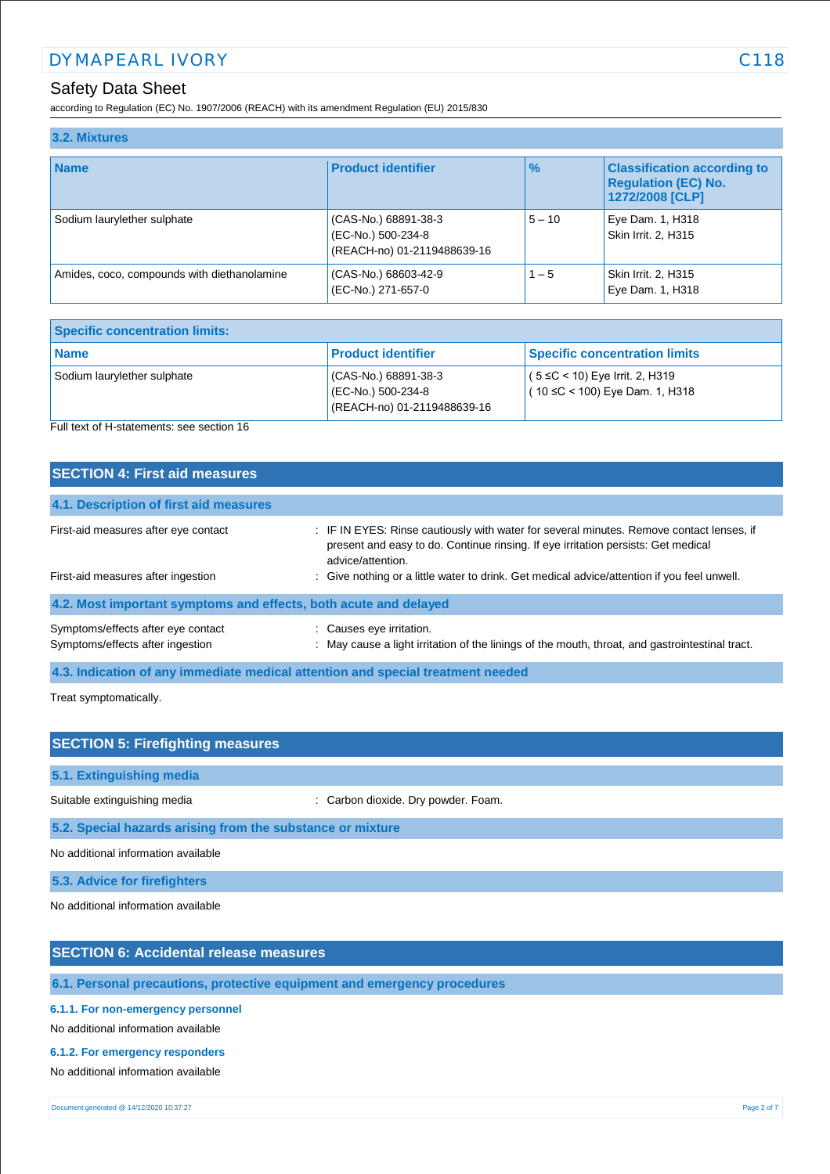according to Regulation (EC) No. 1907/2006 (REACH) with its amendment Regulation (EU) 2015/830

| 3.2. Mixtures                               |                                                                           |          |                                                                                     |
|---------------------------------------------|---------------------------------------------------------------------------|----------|-------------------------------------------------------------------------------------|
| <b>Name</b>                                 | <b>Product identifier</b>                                                 | $\%$     | <b>Classification according to</b><br><b>Regulation (EC) No.</b><br>1272/2008 [CLP] |
| Sodium laurylether sulphate                 | (CAS-No.) 68891-38-3<br>(EC-No.) 500-234-8<br>(REACH-no) 01-2119488639-16 | $5 - 10$ | Eye Dam. 1, H318<br>Skin Irrit. 2. H315                                             |
| Amides, coco, compounds with diethanolamine | (CAS-No.) 68603-42-9<br>(EC-No.) 271-657-0                                | $1 - 5$  | Skin Irrit. 2, H315<br>Eye Dam. 1, H318                                             |

| <b>Specific concentration limits:</b> |                                                                             |                                                                           |  |
|---------------------------------------|-----------------------------------------------------------------------------|---------------------------------------------------------------------------|--|
| <b>Name</b>                           | <b>Product identifier</b>                                                   | <b>Specific concentration limits</b>                                      |  |
| Sodium laurylether sulphate           | $(CAS-No.) 68891-38-3$<br>(EC-No.) 500-234-8<br>(REACH-no) 01-2119488639-16 | $(5 ≤ C < 10)$ Eye Irrit. 2, H319<br>$(10 \leq C < 100)$ Eye Dam. 1, H318 |  |

Full text of H-statements: see section 16

| <b>SECTION 4: First aid measures</b>                                            |                                                                                                                                                                                                                                                                                                   |
|---------------------------------------------------------------------------------|---------------------------------------------------------------------------------------------------------------------------------------------------------------------------------------------------------------------------------------------------------------------------------------------------|
| 4.1. Description of first aid measures                                          |                                                                                                                                                                                                                                                                                                   |
| First-aid measures after eye contact<br>First-aid measures after ingestion      | : IF IN EYES: Rinse cautiously with water for several minutes. Remove contact lenses, if<br>present and easy to do. Continue rinsing. If eye irritation persists: Get medical<br>advice/attention.<br>: Give nothing or a little water to drink. Get medical advice/attention if you feel unwell. |
| 4.2. Most important symptoms and effects, both acute and delayed                |                                                                                                                                                                                                                                                                                                   |
| Symptoms/effects after eye contact<br>Symptoms/effects after ingestion          | : Causes eye irritation.<br>: May cause a light irritation of the linings of the mouth, throat, and gastrointestinal tract.                                                                                                                                                                       |
| 4.3. Indication of any immediate medical attention and special treatment needed |                                                                                                                                                                                                                                                                                                   |

Treat symptomatically.

| <b>SECTION 5: Firefighting measures</b>                    |                                     |  |
|------------------------------------------------------------|-------------------------------------|--|
| 5.1. Extinguishing media                                   |                                     |  |
| Suitable extinguishing media                               | : Carbon dioxide. Dry powder. Foam. |  |
| 5.2. Special hazards arising from the substance or mixture |                                     |  |
| No additional information available                        |                                     |  |
| 5.3. Advice for firefighters                               |                                     |  |

No additional information available

### **SECTION 6: Accidental release measures**

**6.1. Personal precautions, protective equipment and emergency procedures**

#### **6.1.1. For non-emergency personnel**

No additional information available

#### **6.1.2. For emergency responders**

No additional information available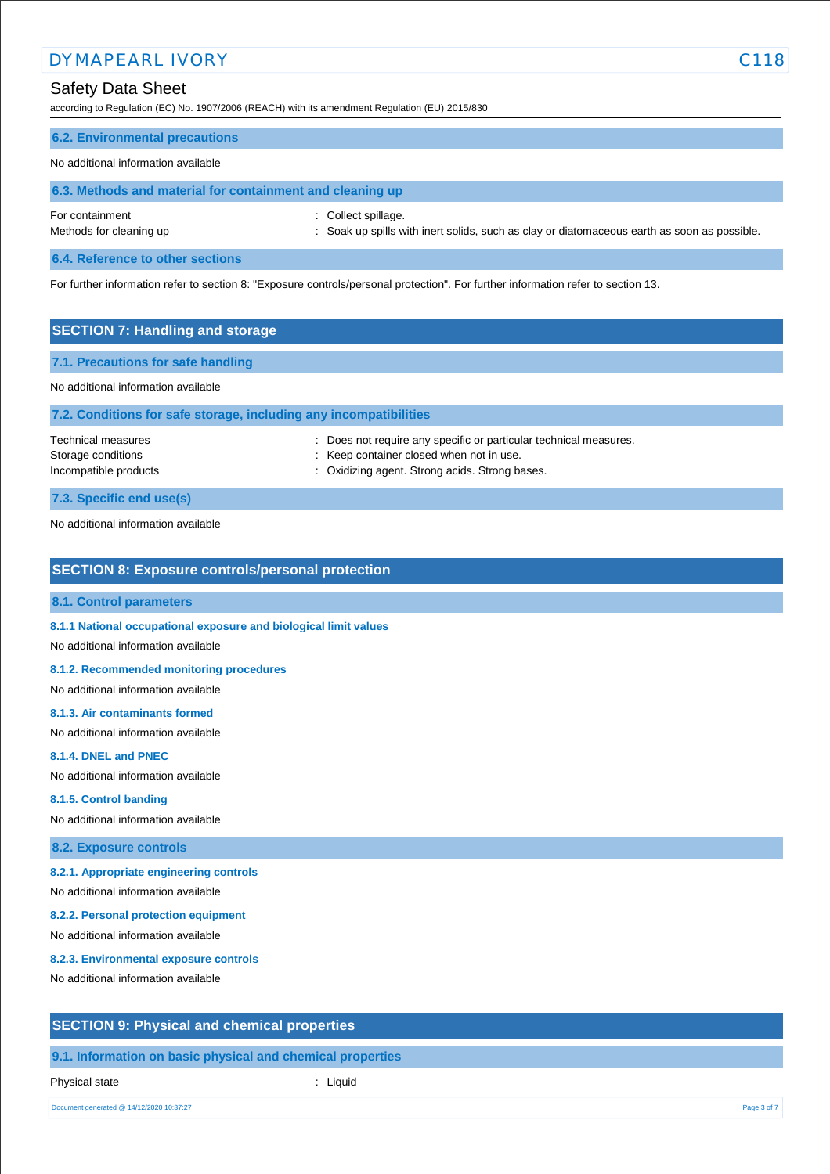### DYMAPEARL IVORY C118

## Safety Data Sheet

according to Regulation (EC) No. 1907/2006 (REACH) with its amendment Regulation (EU) 2015/830

### **6.2. Environmental precautions**

#### No additional information available

| 6.3. Methods and material for containment and cleaning up |                                                                                                                    |  |  |
|-----------------------------------------------------------|--------------------------------------------------------------------------------------------------------------------|--|--|
| For containment<br>Methods for cleaning up                | : Collect spillage.<br>: Soak up spills with inert solids, such as clay or diatomaceous earth as soon as possible. |  |  |
| 6.4. Reference to other sections                          |                                                                                                                    |  |  |

For further information refer to section 8: "Exposure controls/personal protection". For further information refer to section 13.

| <b>SECTION 7: Handling and storage</b> |                                                                   |  |  |
|----------------------------------------|-------------------------------------------------------------------|--|--|
| 7.1. Precautions for safe handling     |                                                                   |  |  |
| No additional information available    |                                                                   |  |  |
|                                        | 7.2. Conditions for safe storage, including any incompatibilities |  |  |
| Technical measures                     | : Does not require any specific or particular technical measures. |  |  |
| Storage conditions                     | : Keep container closed when not in use.                          |  |  |
| Incompatible products                  | Oxidizing agent. Strong acids. Strong bases.                      |  |  |

**7.3. Specific end use(s)**

No additional information available

#### **SECTION 8: Exposure controls/personal protection**

#### **8.1. Control parameters**

**8.1.1 National occupational exposure and biological limit values** 

No additional information available

#### **8.1.2. Recommended monitoring procedures**

No additional information available

#### **8.1.3. Air contaminants formed**

No additional information available

#### **8.1.4. DNEL and PNEC**

No additional information available

#### **8.1.5. Control banding**

No additional information available

#### **8.2. Exposure controls**

#### **8.2.1. Appropriate engineering controls**

No additional information available

#### **8.2.2. Personal protection equipment**

No additional information available

#### **8.2.3. Environmental exposure controls**

No additional information available

#### **SECTION 9: Physical and chemical properties**

**9.1. Information on basic physical and chemical properties**

Physical state in the state of the state of the state of the state of the state of the state of the state of the state of the state of the state of the state of the state of the state of the state of the state of the state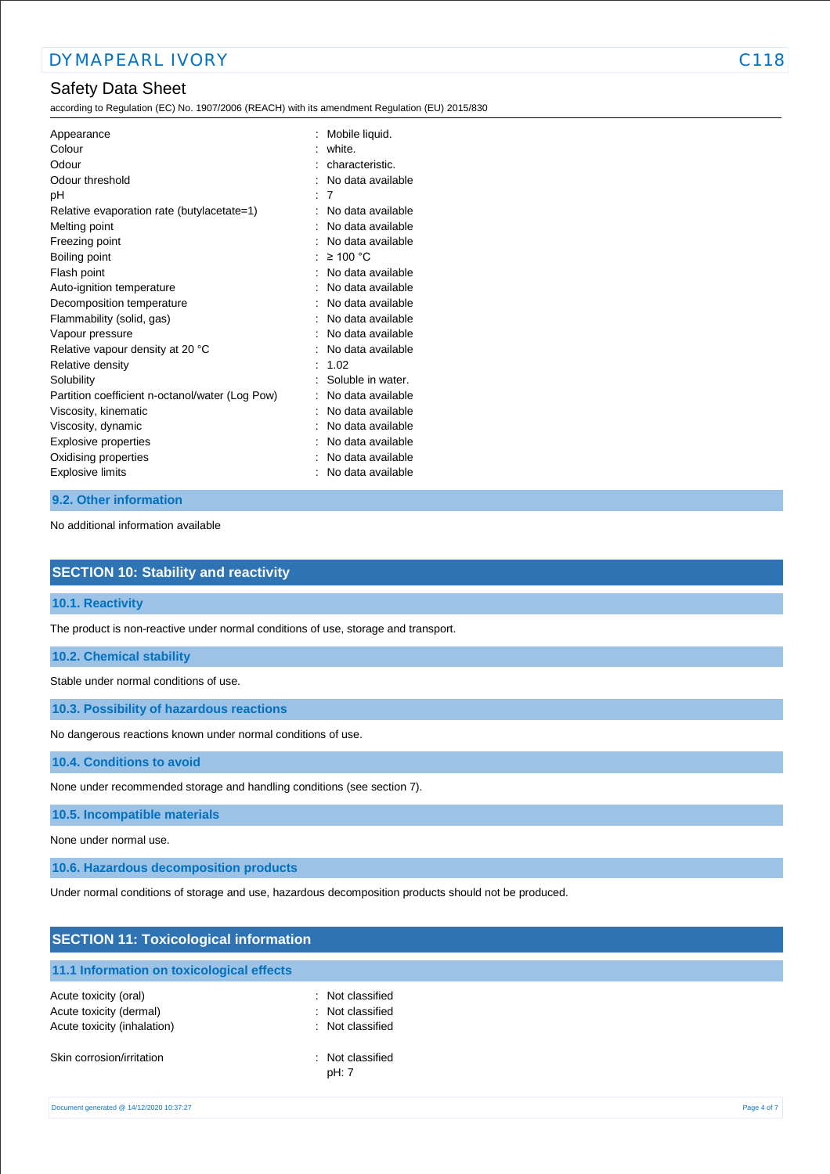according to Regulation (EC) No. 1907/2006 (REACH) with its amendment Regulation (EU) 2015/830

| Appearance<br>Colour<br>Odour<br>Odour threshold<br>рH<br>Relative evaporation rate (butylacetate=1)<br>Melting point<br>Freezing point<br>Boiling point<br>Flash point<br>Auto-ignition temperature<br>Decomposition temperature<br>Flammability (solid, gas)<br>Vapour pressure<br>Relative vapour density at 20 °C<br>Relative density<br>Solubility<br>Partition coefficient n-octanol/water (Log Pow)<br>Viscosity, kinematic<br>Viscosity, dynamic<br>Explosive properties | Mobile liquid.<br>white.<br>characteristic.<br>No data available<br>7<br>No data available<br>No data available<br>No data available<br>$\geq 100$ °C<br>No data available<br>No data available<br>No data available<br>No data available<br>No data available<br>No data available<br>1.02<br>Soluble in water.<br>No data available<br>No data available<br>No data available<br>No data available |
|----------------------------------------------------------------------------------------------------------------------------------------------------------------------------------------------------------------------------------------------------------------------------------------------------------------------------------------------------------------------------------------------------------------------------------------------------------------------------------|------------------------------------------------------------------------------------------------------------------------------------------------------------------------------------------------------------------------------------------------------------------------------------------------------------------------------------------------------------------------------------------------------|
| Oxidising properties                                                                                                                                                                                                                                                                                                                                                                                                                                                             | No data available                                                                                                                                                                                                                                                                                                                                                                                    |
| <b>Explosive limits</b>                                                                                                                                                                                                                                                                                                                                                                                                                                                          | No data available                                                                                                                                                                                                                                                                                                                                                                                    |
|                                                                                                                                                                                                                                                                                                                                                                                                                                                                                  |                                                                                                                                                                                                                                                                                                                                                                                                      |

#### **9.2. Other information**

No additional information available

| <b>SECTION 10: Stability and reactivity</b>                                        |
|------------------------------------------------------------------------------------|
| 10.1. Reactivity                                                                   |
| The product is non-reactive under normal conditions of use, storage and transport. |
| <b>10.2. Chemical stability</b>                                                    |
| Stable under normal conditions of use.                                             |
| 10.3. Possibility of hazardous reactions                                           |

No dangerous reactions known under normal conditions of use.

**10.4. Conditions to avoid**

None under recommended storage and handling conditions (see section 7).

**10.5. Incompatible materials**

None under normal use.

**10.6. Hazardous decomposition products**

Under normal conditions of storage and use, hazardous decomposition products should not be produced.

| <b>SECTION 11: Toxicological information</b>                                    |                                                          |             |
|---------------------------------------------------------------------------------|----------------------------------------------------------|-------------|
| 11.1 Information on toxicological effects                                       |                                                          |             |
| Acute toxicity (oral)<br>Acute toxicity (dermal)<br>Acute toxicity (inhalation) | : Not classified<br>: Not classified<br>: Not classified |             |
| Skin corrosion/irritation                                                       | : Not classified<br>pH: 7                                |             |
| Document generated @ 14/12/2020 10:37:27                                        |                                                          | Page 4 of 7 |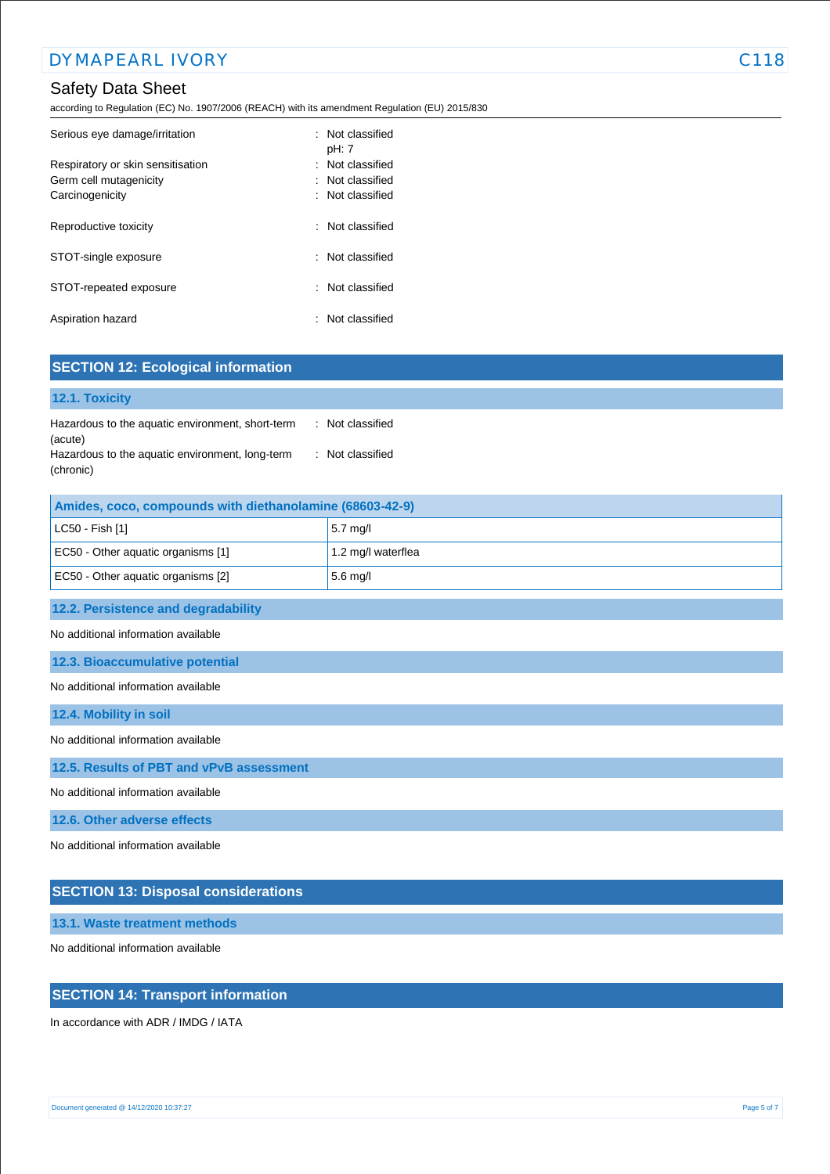according to Regulation (EC) No. 1907/2006 (REACH) with its amendment Regulation (EU) 2015/830

| Serious eye damage/irritation                                                  | $\therefore$ Not classified<br>pH: 7                                           |
|--------------------------------------------------------------------------------|--------------------------------------------------------------------------------|
| Respiratory or skin sensitisation<br>Germ cell mutagenicity<br>Carcinogenicity | : Not classified<br>$\therefore$ Not classified<br>$\therefore$ Not classified |
| Reproductive toxicity                                                          | $\therefore$ Not classified                                                    |
| STOT-single exposure                                                           | : Not classified                                                               |
| STOT-repeated exposure                                                         | $\therefore$ Not classified                                                    |
| Aspiration hazard                                                              | Not classified                                                                 |

| <b>SECTION 12: Ecological information</b>                                                   |                    |  |  |
|---------------------------------------------------------------------------------------------|--------------------|--|--|
| 12.1. Toxicity                                                                              |                    |  |  |
| Hazardous to the aquatic environment, short-term<br>: Not classified                        |                    |  |  |
| (acute)<br>Hazardous to the aquatic environment, long-term<br>: Not classified<br>(chronic) |                    |  |  |
| Amides, coco, compounds with diethanolamine (68603-42-9)                                    |                    |  |  |
| LC50 - Fish [1]                                                                             | 5.7 mg/l           |  |  |
| EC50 - Other aquatic organisms [1]                                                          | 1.2 mg/l waterflea |  |  |
| EC50 - Other aquatic organisms [2]                                                          | $5.6$ mg/l         |  |  |
| 12.2. Persistence and degradability                                                         |                    |  |  |
| No additional information available                                                         |                    |  |  |
| 12.3. Bioaccumulative potential                                                             |                    |  |  |
| No additional information available                                                         |                    |  |  |
| 12.4. Mobility in soil                                                                      |                    |  |  |
| No additional information available                                                         |                    |  |  |
| 12.5. Results of PBT and vPvB assessment                                                    |                    |  |  |
| No additional information available                                                         |                    |  |  |
| 12.6. Other adverse effects                                                                 |                    |  |  |
| No additional information available                                                         |                    |  |  |
| <b>SECTION 13: Disposal considerations</b>                                                  |                    |  |  |

**13.1. Waste treatment methods**

No additional information available

### **SECTION 14: Transport information**

In accordance with ADR / IMDG / IATA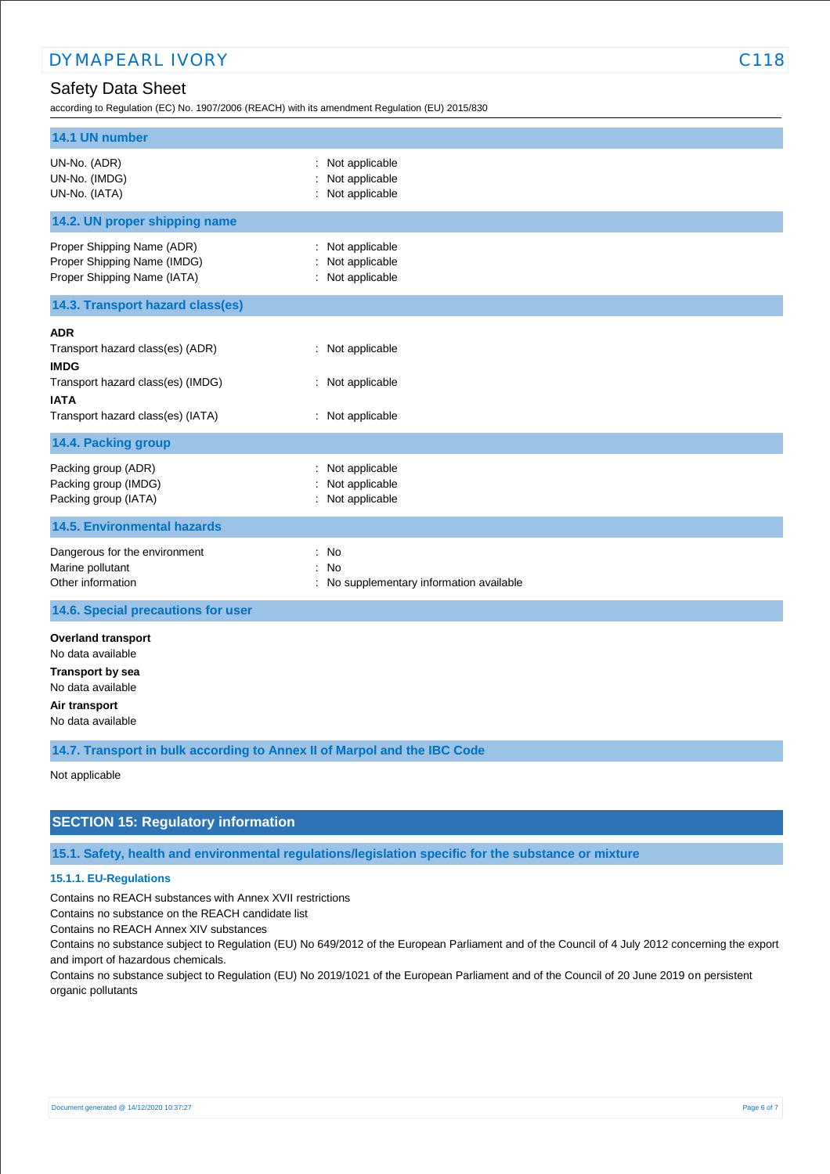according to Regulation (EC) No. 1907/2006 (REACH) with its amendment Regulation (EU) 2015/830

| 14.1 UN number                                                                                                                                         |                                                                                       |
|--------------------------------------------------------------------------------------------------------------------------------------------------------|---------------------------------------------------------------------------------------|
| UN-No. (ADR)<br>UN-No. (IMDG)<br>UN-No. (IATA)                                                                                                         | : Not applicable<br>Not applicable<br>: Not applicable                                |
| 14.2. UN proper shipping name                                                                                                                          |                                                                                       |
| Proper Shipping Name (ADR)<br>Proper Shipping Name (IMDG)<br>Proper Shipping Name (IATA)                                                               | : Not applicable<br>Not applicable<br>: Not applicable                                |
| 14.3. Transport hazard class(es)                                                                                                                       |                                                                                       |
| <b>ADR</b><br>Transport hazard class(es) (ADR)<br><b>IMDG</b><br>Transport hazard class(es) (IMDG)<br><b>IATA</b><br>Transport hazard class(es) (IATA) | : Not applicable<br>: Not applicable<br>: Not applicable                              |
| 14.4. Packing group                                                                                                                                    |                                                                                       |
| Packing group (ADR)<br>Packing group (IMDG)<br>Packing group (IATA)                                                                                    | Not applicable<br>Not applicable<br>: Not applicable                                  |
| <b>14.5. Environmental hazards</b>                                                                                                                     |                                                                                       |
| Dangerous for the environment<br>Marine pollutant<br>Other information                                                                                 | : No<br><b>No</b><br>$\ddot{\phantom{0}}$<br>: No supplementary information available |
| 14.6. Special precautions for user                                                                                                                     |                                                                                       |
| <b>Overland transport</b><br>No data available<br><b>Transport by sea</b><br>No data available<br>Air transport<br>No data available                   |                                                                                       |

**14.7. Transport in bulk according to Annex II of Marpol and the IBC Code**

Not applicable

### **SECTION 15: Regulatory information**

**15.1. Safety, health and environmental regulations/legislation specific for the substance or mixture**

### **15.1.1. EU-Regulations**

Contains no REACH substances with Annex XVII restrictions

Contains no substance on the REACH candidate list

Contains no REACH Annex XIV substances

Contains no substance subject to Regulation (EU) No 649/2012 of the European Parliament and of the Council of 4 July 2012 concerning the export and import of hazardous chemicals.

Contains no substance subject to Regulation (EU) No 2019/1021 of the European Parliament and of the Council of 20 June 2019 on persistent organic pollutants